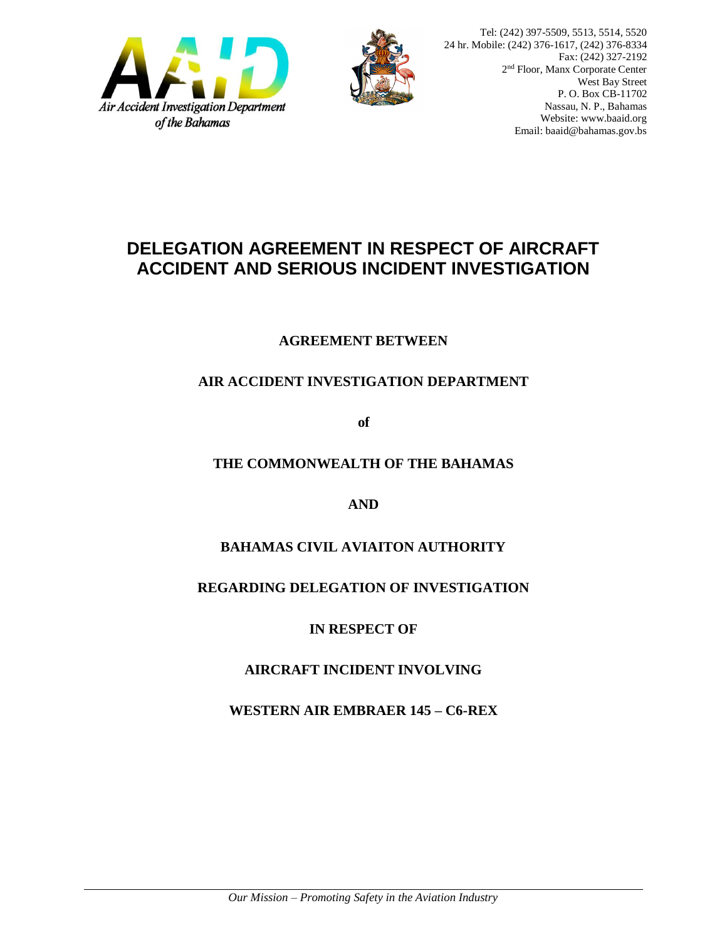



Tel: (242) 397-5509, 5513, 5514, 5520 24 hr. Mobile: (242) 376-1617, (242) 376-8334 Fax: (242) 327-2192 2<sup>nd</sup> Floor, Manx Corporate Center West Bay Street P. O. Box CB-11702 Nassau, N. P., Bahamas Website: www.baaid.org Email: baaid@bahamas.gov.bs

# **DELEGATION AGREEMENT IN RESPECT OF AIRCRAFT ACCIDENT AND SERIOUS INCIDENT INVESTIGATION**

### **AGREEMENT BETWEEN**

# **AIR ACCIDENT INVESTIGATION DEPARTMENT**

**of** 

### **THE COMMONWEALTH OF THE BAHAMAS**

**AND** 

# **BAHAMAS CIVIL AVIAITON AUTHORITY**

## **REGARDING DELEGATION OF INVESTIGATION**

**IN RESPECT OF** 

## **AIRCRAFT INCIDENT INVOLVING**

**WESTERN AIR EMBRAER 145 – C6-REX**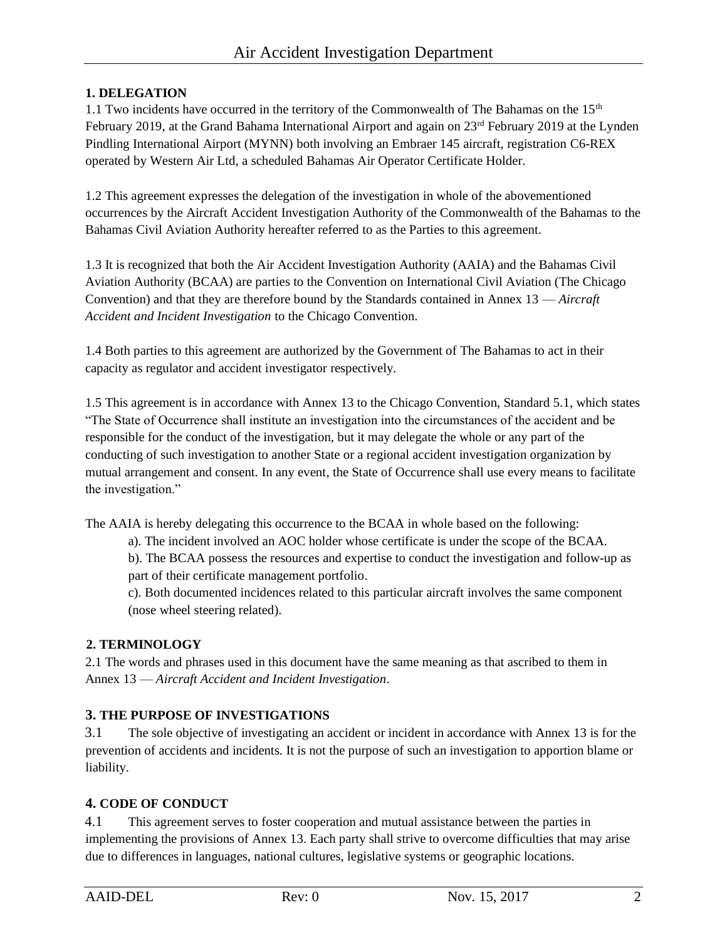#### **1. DELEGATION**

1.1 Two incidents have occurred in the territory of the Commonwealth of The Bahamas on the  $15<sup>th</sup>$ February 2019, at the Grand Bahama International Airport and again on 23<sup>rd</sup> February 2019 at the Lynden Pindling International Airport (MYNN) both involving an Embraer 145 aircraft, registration C6-REX operated by Western Air Ltd, a scheduled Bahamas Air Operator Certificate Holder.

1.2 This agreement expresses the delegation of the investigation in whole of the abovementioned occurrences by the Aircraft Accident Investigation Authority of the Commonwealth of the Bahamas to the Bahamas Civil Aviation Authority hereafter referred to as the Parties to this agreement.

1.3 It is recognized that both the Air Accident Investigation Authority (AAIA) and the Bahamas Civil Aviation Authority (BCAA) are parties to the Convention on International Civil Aviation (The Chicago Convention) and that they are therefore bound by the Standards contained in Annex 13 — *Aircraft Accident and Incident Investigation* to the Chicago Convention.

1.4 Both parties to this agreement are authorized by the Government of The Bahamas to act in their capacity as regulator and accident investigator respectively.

1.5 This agreement is in accordance with Annex 13 to the Chicago Convention, Standard 5.1, which states "The State of Occurrence shall institute an investigation into the circumstances of the accident and be responsible for the conduct of the investigation, but it may delegate the whole or any part of the conducting of such investigation to another State or a regional accident investigation organization by mutual arrangement and consent. In any event, the State of Occurrence shall use every means to facilitate the investigation."

The AAIA is hereby delegating this occurrence to the BCAA in whole based on the following:

a). The incident involved an AOC holder whose certificate is under the scope of the BCAA.

b). The BCAA possess the resources and expertise to conduct the investigation and follow-up as part of their certificate management portfolio.

c). Both documented incidences related to this particular aircraft involves the same component (nose wheel steering related).

#### **2. TERMINOLOGY**

2.1 The words and phrases used in this document have the same meaning as that ascribed to them in Annex 13 — *Aircraft Accident and Incident Investigation*.

#### **3. THE PURPOSE OF INVESTIGATIONS**

3.1 The sole objective of investigating an accident or incident in accordance with Annex 13 is for the prevention of accidents and incidents. It is not the purpose of such an investigation to apportion blame or liability.

#### **4. CODE OF CONDUCT**

4.1 This agreement serves to foster cooperation and mutual assistance between the parties in implementing the provisions of Annex 13. Each party shall strive to overcome difficulties that may arise due to differences in languages, national cultures, legislative systems or geographic locations.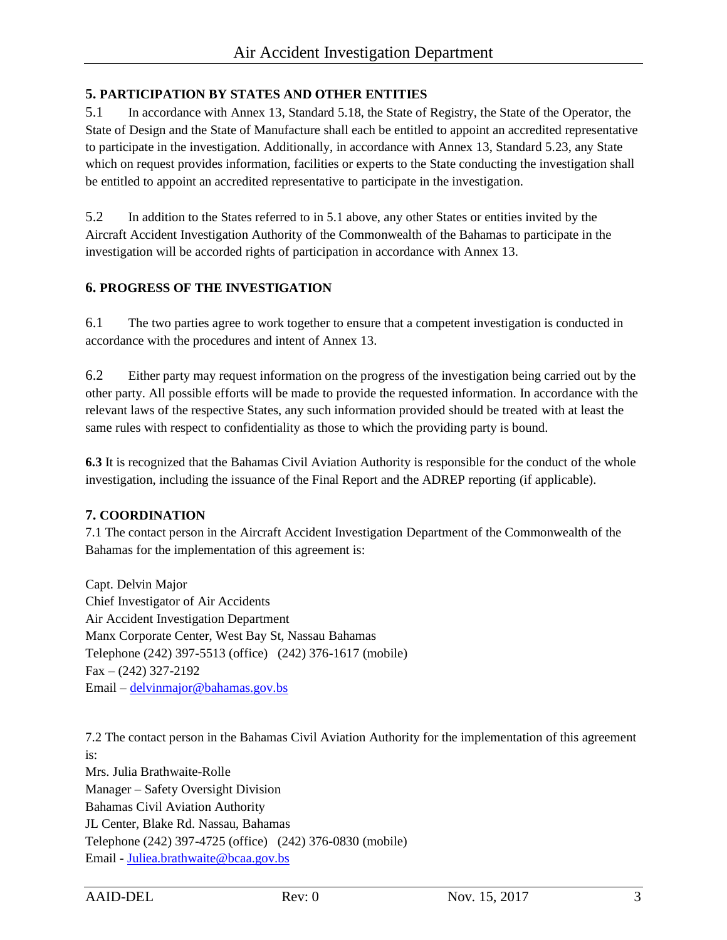### **5. PARTICIPATION BY STATES AND OTHER ENTITIES**

5.1 In accordance with Annex 13, Standard 5.18, the State of Registry, the State of the Operator, the State of Design and the State of Manufacture shall each be entitled to appoint an accredited representative to participate in the investigation. Additionally, in accordance with Annex 13, Standard 5.23, any State which on request provides information, facilities or experts to the State conducting the investigation shall be entitled to appoint an accredited representative to participate in the investigation.

5.2 In addition to the States referred to in 5.1 above, any other States or entities invited by the Aircraft Accident Investigation Authority of the Commonwealth of the Bahamas to participate in the investigation will be accorded rights of participation in accordance with Annex 13.

### **6. PROGRESS OF THE INVESTIGATION**

6.1 The two parties agree to work together to ensure that a competent investigation is conducted in accordance with the procedures and intent of Annex 13.

6.2 Either party may request information on the progress of the investigation being carried out by the other party. All possible efforts will be made to provide the requested information. In accordance with the relevant laws of the respective States, any such information provided should be treated with at least the same rules with respect to confidentiality as those to which the providing party is bound.

**6.3** It is recognized that the Bahamas Civil Aviation Authority is responsible for the conduct of the whole investigation, including the issuance of the Final Report and the ADREP reporting (if applicable).

### **7. COORDINATION**

7.1 The contact person in the Aircraft Accident Investigation Department of the Commonwealth of the Bahamas for the implementation of this agreement is:

Capt. Delvin Major Chief Investigator of Air Accidents Air Accident Investigation Department Manx Corporate Center, West Bay St, Nassau Bahamas Telephone (242) 397-5513 (office) (242) 376-1617 (mobile)  $Fax - (242) 327-2192$ Email – [delvinmajor@bahamas.gov.bs](mailto:DELVINMAJOR@BAHAMAS.GOV.BS)

7.2 The contact person in the Bahamas Civil Aviation Authority for the implementation of this agreement is: Mrs. Julia Brathwaite-Rolle Manager – Safety Oversight Division Bahamas Civil Aviation Authority JL Center, Blake Rd. Nassau, Bahamas Telephone (242) 397-4725 (office) (242) 376-0830 (mobile) Email - [Juliea.brathwaite@bcaa.gov.bs](mailto:Juliea.brathwaite@bcaa.gov.bs)